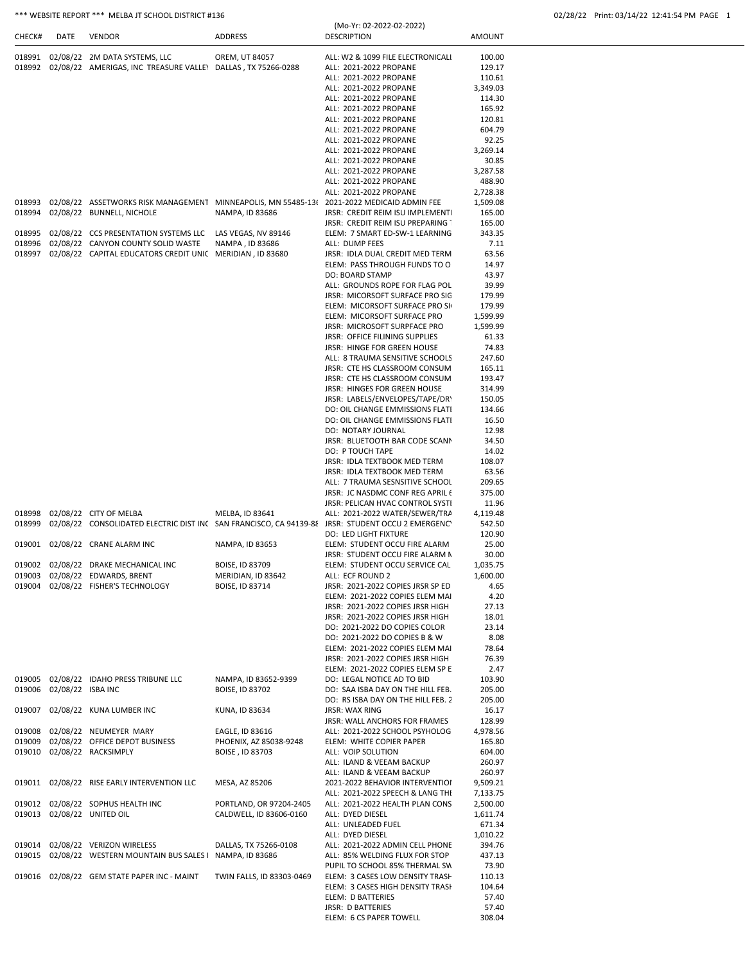| CHECK# | <b>DATE</b>       | <b>VENDOR</b>                                                                              | ADDRESS                   | <b>DESCRIPTION</b>                                                                                | <b>AMOUNT</b> |
|--------|-------------------|--------------------------------------------------------------------------------------------|---------------------------|---------------------------------------------------------------------------------------------------|---------------|
| 018991 |                   | 02/08/22 2M DATA SYSTEMS, LLC                                                              | OREM, UT 84057            | ALL: W2 & 1099 FILE ELECTRONICALI                                                                 | 100.00        |
| 018992 |                   | 02/08/22 AMERIGAS, INC TREASURE VALLEY DALLAS, TX 75266-0288                               |                           | ALL: 2021-2022 PROPANE                                                                            | 129.17        |
|        |                   |                                                                                            |                           | ALL: 2021-2022 PROPANE                                                                            | 110.61        |
|        |                   |                                                                                            |                           | ALL: 2021-2022 PROPANE                                                                            | 3,349.03      |
|        |                   |                                                                                            |                           | ALL: 2021-2022 PROPANE                                                                            | 114.30        |
|        |                   |                                                                                            |                           | ALL: 2021-2022 PROPANE                                                                            | 165.92        |
|        |                   |                                                                                            |                           | ALL: 2021-2022 PROPANE                                                                            | 120.81        |
|        |                   |                                                                                            |                           | ALL: 2021-2022 PROPANE                                                                            | 604.79        |
|        |                   |                                                                                            |                           | ALL: 2021-2022 PROPANE                                                                            | 92.25         |
|        |                   |                                                                                            |                           | ALL: 2021-2022 PROPANE                                                                            | 3,269.14      |
|        |                   |                                                                                            |                           | ALL: 2021-2022 PROPANE                                                                            | 30.85         |
|        |                   |                                                                                            |                           | ALL: 2021-2022 PROPANE                                                                            | 3,287.58      |
|        |                   |                                                                                            |                           | ALL: 2021-2022 PROPANE                                                                            | 488.90        |
|        |                   |                                                                                            |                           | ALL: 2021-2022 PROPANE                                                                            | 2,728.38      |
| 018993 |                   | 02/08/22 ASSETWORKS RISK MANAGEMENT MINNEAPOLIS, MN 55485-13( 2021-2022 MEDICAID ADMIN FEE |                           |                                                                                                   | 1,509.08      |
| 018994 |                   | 02/08/22 BUNNELL, NICHOLE                                                                  | NAMPA, ID 83686           | JRSR: CREDIT REIM ISU IMPLEMENT                                                                   | 165.00        |
|        |                   |                                                                                            |                           | JRSR: CREDIT REIM ISU PREPARING                                                                   | 165.00        |
| 018995 |                   | 02/08/22 CCS PRESENTATION SYSTEMS LLC                                                      | LAS VEGAS, NV 89146       | ELEM: 7 SMART ED-SW-1 LEARNING                                                                    | 343.35        |
| 018996 |                   | 02/08/22 CANYON COUNTY SOLID WASTE                                                         | NAMPA, ID 83686           | ALL: DUMP FEES                                                                                    | 7.11          |
| 018997 |                   | 02/08/22 CAPITAL EDUCATORS CREDIT UNIC MERIDIAN, ID 83680                                  |                           | JRSR: IDLA DUAL CREDIT MED TERM                                                                   | 63.56         |
|        |                   |                                                                                            |                           | ELEM: PASS THROUGH FUNDS TO O                                                                     | 14.97         |
|        |                   |                                                                                            |                           | DO: BOARD STAMP                                                                                   | 43.97         |
|        |                   |                                                                                            |                           | ALL: GROUNDS ROPE FOR FLAG POL                                                                    | 39.99         |
|        |                   |                                                                                            |                           | JRSR: MICORSOFT SURFACE PRO SIG                                                                   | 179.99        |
|        |                   |                                                                                            |                           | ELEM: MICORSOFT SURFACE PRO SI                                                                    | 179.99        |
|        |                   |                                                                                            |                           | ELEM: MICORSOFT SURFACE PRO                                                                       | 1,599.99      |
|        |                   |                                                                                            |                           | JRSR: MICROSOFT SURPFACE PRO                                                                      | 1,599.99      |
|        |                   |                                                                                            |                           | JRSR: OFFICE FILINING SUPPLIES                                                                    | 61.33         |
|        |                   |                                                                                            |                           | JRSR: HINGE FOR GREEN HOUSE                                                                       | 74.83         |
|        |                   |                                                                                            |                           | ALL: 8 TRAUMA SENSITIVE SCHOOLS                                                                   | 247.60        |
|        |                   |                                                                                            |                           | JRSR: CTE HS CLASSROOM CONSUM                                                                     | 165.11        |
|        |                   |                                                                                            |                           | JRSR: CTE HS CLASSROOM CONSUM                                                                     | 193.47        |
|        |                   |                                                                                            |                           | JRSR: HINGES FOR GREEN HOUSE                                                                      | 314.99        |
|        |                   |                                                                                            |                           | JRSR: LABELS/ENVELOPES/TAPE/DRY                                                                   | 150.05        |
|        |                   |                                                                                            |                           | DO: OIL CHANGE EMMISSIONS FLATI                                                                   | 134.66        |
|        |                   |                                                                                            |                           | DO: OIL CHANGE EMMISSIONS FLATI                                                                   | 16.50         |
|        |                   |                                                                                            |                           | DO: NOTARY JOURNAL                                                                                | 12.98         |
|        |                   |                                                                                            |                           | JRSR: BLUETOOTH BAR CODE SCANN                                                                    | 34.50         |
|        |                   |                                                                                            |                           | DO: P TOUCH TAPE                                                                                  | 14.02         |
|        |                   |                                                                                            |                           | JRSR: IDLA TEXTBOOK MED TERM                                                                      | 108.07        |
|        |                   |                                                                                            |                           | JRSR: IDLA TEXTBOOK MED TERM                                                                      | 63.56         |
|        |                   |                                                                                            |                           | ALL: 7 TRAUMA SESNSITIVE SCHOOL                                                                   | 209.65        |
|        |                   |                                                                                            |                           | JRSR: JC NASDMC CONF REG APRIL (                                                                  | 375.00        |
|        |                   |                                                                                            |                           | JRSR: PELICAN HVAC CONTROL SYSTI                                                                  | 11.96         |
| 018998 |                   | 02/08/22 CITY OF MELBA                                                                     | MELBA, ID 83641           | ALL: 2021-2022 WATER/SEWER/TRA                                                                    | 4,119.48      |
| 018999 |                   |                                                                                            |                           | 02/08/22 CONSOLIDATED ELECTRIC DIST INC SAN FRANCISCO, CA 94139-88 JRSR: STUDENT OCCU 2 EMERGENCY | 542.50        |
|        |                   |                                                                                            |                           | DO: LED LIGHT FIXTURE                                                                             | 120.90        |
| 019001 |                   | 02/08/22 CRANE ALARM INC                                                                   | NAMPA, ID 83653           | ELEM: STUDENT OCCU FIRE ALARM                                                                     | 25.00         |
|        |                   |                                                                                            |                           | JRSR: STUDENT OCCU FIRE ALARM N                                                                   | 30.00         |
| 019002 |                   | 02/08/22 DRAKE MECHANICAL INC                                                              | <b>BOISE, ID 83709</b>    | ELEM: STUDENT OCCU SERVICE CAL                                                                    | 1,035.75      |
| 019003 |                   | 02/08/22 EDWARDS, BRENT                                                                    | MERIDIAN, ID 83642        | ALL: ECF ROUND 2                                                                                  | 1,600.00      |
| 019004 |                   | 02/08/22 FISHER'S TECHNOLOGY                                                               | BOISE, ID 83714           | JRSR: 2021-2022 COPIES JRSR SP ED                                                                 | 4.65          |
|        |                   |                                                                                            |                           | ELEM: 2021-2022 COPIES ELEM MAI                                                                   | 4.20          |
|        |                   |                                                                                            |                           | JRSR: 2021-2022 COPIES JRSR HIGH                                                                  | 27.13         |
|        |                   |                                                                                            |                           | JRSR: 2021-2022 COPIES JRSR HIGH                                                                  | 18.01         |
|        |                   |                                                                                            |                           | DO: 2021-2022 DO COPIES COLOR                                                                     | 23.14         |
|        |                   |                                                                                            |                           | DO: 2021-2022 DO COPIES B & W                                                                     | 8.08          |
|        |                   |                                                                                            |                           | ELEM: 2021-2022 COPIES ELEM MAI                                                                   | 78.64         |
|        |                   |                                                                                            |                           | JRSR: 2021-2022 COPIES JRSR HIGH                                                                  | 76.39         |
|        |                   |                                                                                            |                           | ELEM: 2021-2022 COPIES ELEM SP E                                                                  | 2.47          |
| 019005 |                   | 02/08/22 IDAHO PRESS TRIBUNE LLC                                                           | NAMPA, ID 83652-9399      | DO: LEGAL NOTICE AD TO BID                                                                        | 103.90        |
| 019006 | 02/08/22 ISBA INC |                                                                                            | BOISE, ID 83702           | DO: SAA ISBA DAY ON THE HILL FEB.                                                                 | 205.00        |
|        |                   |                                                                                            |                           | DO: RS ISBA DAY ON THE HILL FEB. 2                                                                | 205.00        |
| 019007 |                   | 02/08/22 KUNA LUMBER INC                                                                   | KUNA, ID 83634            | <b>JRSR: WAX RING</b>                                                                             | 16.17         |
|        |                   |                                                                                            |                           | JRSR: WALL ANCHORS FOR FRAMES                                                                     | 128.99        |
| 019008 |                   | 02/08/22 NEUMEYER MARY                                                                     | EAGLE, ID 83616           | ALL: 2021-2022 SCHOOL PSYHOLOG                                                                    | 4,978.56      |
| 019009 |                   | 02/08/22 OFFICE DEPOT BUSINESS                                                             | PHOENIX, AZ 85038-9248    | ELEM: WHITE COPIER PAPER                                                                          | 165.80        |
| 019010 |                   | 02/08/22 RACKSIMPLY                                                                        | BOISE, ID 83703           | ALL: VOIP SOLUTION                                                                                | 604.00        |
|        |                   |                                                                                            |                           | ALL: ILAND & VEEAM BACKUP                                                                         | 260.97        |
|        |                   |                                                                                            |                           | ALL: ILAND & VEEAM BACKUP                                                                         | 260.97        |
|        |                   | 019011 02/08/22 RISE EARLY INTERVENTION LLC                                                | MESA, AZ 85206            | 2021-2022 BEHAVIOR INTERVENTIOI                                                                   | 9,509.21      |
|        |                   |                                                                                            |                           | ALL: 2021-2022 SPEECH & LANG THI                                                                  | 7,133.75      |
| 019012 |                   | 02/08/22 SOPHUS HEALTH INC                                                                 | PORTLAND, OR 97204-2405   | ALL: 2021-2022 HEALTH PLAN CONS                                                                   | 2,500.00      |
|        |                   | 019013 02/08/22 UNITED OIL                                                                 | CALDWELL, ID 83606-0160   | ALL: DYED DIESEL                                                                                  | 1,611.74      |
|        |                   |                                                                                            |                           | ALL: UNLEADED FUEL                                                                                | 671.34        |
|        |                   |                                                                                            |                           | ALL: DYED DIESEL                                                                                  | 1,010.22      |
| 019014 |                   | 02/08/22 VERIZON WIRELESS                                                                  | DALLAS, TX 75266-0108     | ALL: 2021-2022 ADMIN CELL PHONE                                                                   | 394.76        |
| 019015 |                   | 02/08/22 WESTERN MOUNTAIN BUS SALES I NAMPA, ID 83686                                      |                           | ALL: 85% WELDING FLUX FOR STOP                                                                    | 437.13        |
|        |                   |                                                                                            |                           | PUPIL TO SCHOOL 85% THERMAL SW                                                                    | 73.90         |
|        |                   | 019016 02/08/22 GEM STATE PAPER INC - MAINT                                                | TWIN FALLS, ID 83303-0469 | ELEM: 3 CASES LOW DENSITY TRASH                                                                   | 110.13        |
|        |                   |                                                                                            |                           | ELEM: 3 CASES HIGH DENSITY TRASH                                                                  | 104.64        |
|        |                   |                                                                                            |                           | ELEM: D BATTERIES                                                                                 | 57.40         |
|        |                   |                                                                                            |                           | JRSR: D BATTERIES                                                                                 | 57.40         |
|        |                   |                                                                                            |                           | ELEM: 6 CS PAPER TOWELL                                                                           | 308.04        |

(Mo-Yr: 02-2022-02-2022)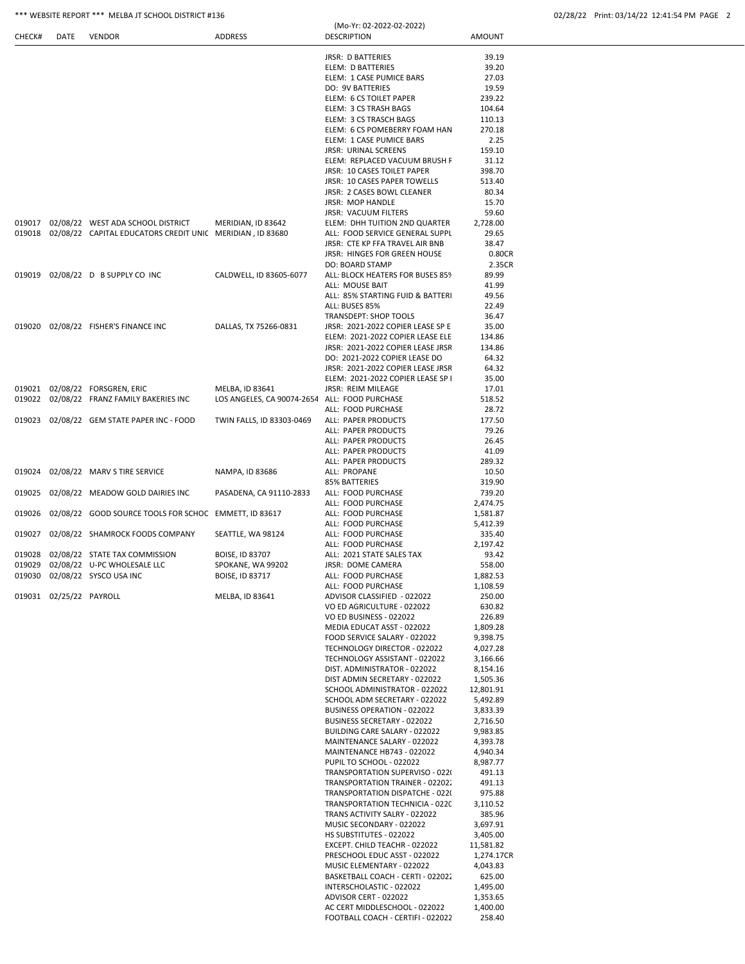# \*\*\* WEBSITE REPORT \*\*\* MELBA JT SCHOOL DISTRICT #136 02/28/22 Print: 03/14/22

|  |  | 02/28/22 Print: 03/14/22 12:41:54 PM PAGE 2 |  |
|--|--|---------------------------------------------|--|
|  |  |                                             |  |

| CHECK# | <b>DATE</b>             | <b>VENDOR</b>                                                    | <b>ADDRESS</b>                                | (Mo-Yr: 02-2022-02-2022)<br><b>DESCRIPTION</b>                     | AMOUNT               |
|--------|-------------------------|------------------------------------------------------------------|-----------------------------------------------|--------------------------------------------------------------------|----------------------|
|        |                         |                                                                  |                                               | <b>JRSR: D BATTERIES</b>                                           | 39.19                |
|        |                         |                                                                  |                                               | ELEM: D BATTERIES                                                  | 39.20                |
|        |                         |                                                                  |                                               | ELEM: 1 CASE PUMICE BARS                                           | 27.03                |
|        |                         |                                                                  |                                               | <b>DO: 9V BATTERIES</b>                                            | 19.59                |
|        |                         |                                                                  |                                               | ELEM: 6 CS TOILET PAPER                                            | 239.22               |
|        |                         |                                                                  |                                               | ELEM: 3 CS TRASH BAGS                                              | 104.64               |
|        |                         |                                                                  |                                               | ELEM: 3 CS TRASCH BAGS<br>ELEM: 6 CS POMEBERRY FOAM HAN            | 110.13<br>270.18     |
|        |                         |                                                                  |                                               | ELEM: 1 CASE PUMICE BARS                                           | 2.25                 |
|        |                         |                                                                  |                                               | <b>JRSR: URINAL SCREENS</b>                                        | 159.10               |
|        |                         |                                                                  |                                               | ELEM: REPLACED VACUUM BRUSH F                                      | 31.12                |
|        |                         |                                                                  |                                               | JRSR: 10 CASES TOILET PAPER                                        | 398.70               |
|        |                         |                                                                  |                                               | JRSR: 10 CASES PAPER TOWELLS                                       | 513.40               |
|        |                         |                                                                  |                                               | JRSR: 2 CASES BOWL CLEANER<br><b>JRSR: MOP HANDLE</b>              | 80.34<br>15.70       |
|        |                         |                                                                  |                                               | JRSR: VACUUM FILTERS                                               | 59.60                |
|        |                         | 019017 02/08/22 WEST ADA SCHOOL DISTRICT                         | MERIDIAN, ID 83642                            | ELEM: DHH TUITION 2ND QUARTER                                      | 2,728.00             |
|        |                         | 019018 02/08/22 CAPITAL EDUCATORS CREDIT UNIC MERIDIAN, ID 83680 |                                               | ALL: FOOD SERVICE GENERAL SUPPL                                    | 29.65                |
|        |                         |                                                                  |                                               | JRSR: CTE KP FFA TRAVEL AIR BNB                                    | 38.47                |
|        |                         |                                                                  |                                               | JRSR: HINGES FOR GREEN HOUSE                                       | 0.80CR               |
| 019019 |                         | 02/08/22 D B SUPPLY CO INC                                       |                                               | <b>DO: BOARD STAMP</b>                                             | 2.35CR<br>89.99      |
|        |                         |                                                                  | CALDWELL, ID 83605-6077                       | ALL: BLOCK HEATERS FOR BUSES 859<br>ALL: MOUSE BAIT                | 41.99                |
|        |                         |                                                                  |                                               | ALL: 85% STARTING FUID & BATTERI                                   | 49.56                |
|        |                         |                                                                  |                                               | ALL: BUSES 85%                                                     | 22.49                |
|        |                         |                                                                  |                                               | <b>TRANSDEPT: SHOP TOOLS</b>                                       | 36.47                |
|        |                         | 019020 02/08/22 FISHER'S FINANCE INC                             | DALLAS, TX 75266-0831                         | JRSR: 2021-2022 COPIER LEASE SP E                                  | 35.00                |
|        |                         |                                                                  |                                               | ELEM: 2021-2022 COPIER LEASE ELE                                   | 134.86               |
|        |                         |                                                                  |                                               | JRSR: 2021-2022 COPIER LEASE JRSR                                  | 134.86<br>64.32      |
|        |                         |                                                                  |                                               | DO: 2021-2022 COPIER LEASE DO<br>JRSR: 2021-2022 COPIER LEASE JRSR | 64.32                |
|        |                         |                                                                  |                                               | ELEM: 2021-2022 COPIER LEASE SP I                                  | 35.00                |
|        |                         | 019021 02/08/22 FORSGREN, ERIC                                   | MELBA, ID 83641                               | JRSR: REIM MILEAGE                                                 | 17.01                |
|        |                         | 019022 02/08/22 FRANZ FAMILY BAKERIES INC                        | LOS ANGELES, CA 90074-2654 ALL: FOOD PURCHASE |                                                                    | 518.52               |
|        |                         |                                                                  |                                               | ALL: FOOD PURCHASE                                                 | 28.72                |
|        |                         | 019023 02/08/22 GEM STATE PAPER INC - FOOD                       | TWIN FALLS, ID 83303-0469                     | ALL: PAPER PRODUCTS                                                | 177.50               |
|        |                         |                                                                  |                                               | ALL: PAPER PRODUCTS<br>ALL: PAPER PRODUCTS                         | 79.26<br>26.45       |
|        |                         |                                                                  |                                               | ALL: PAPER PRODUCTS                                                | 41.09                |
|        |                         |                                                                  |                                               | ALL: PAPER PRODUCTS                                                | 289.32               |
| 019024 |                         | 02/08/22 MARV S TIRE SERVICE                                     | NAMPA, ID 83686                               | ALL: PROPANE                                                       | 10.50                |
|        |                         |                                                                  |                                               | 85% BATTERIES                                                      | 319.90               |
|        |                         | 019025 02/08/22 MEADOW GOLD DAIRIES INC                          | PASADENA, CA 91110-2833                       | ALL: FOOD PURCHASE                                                 | 739.20               |
|        |                         | 019026 02/08/22 GOOD SOURCE TOOLS FOR SCHOC EMMETT, ID 83617     |                                               | ALL: FOOD PURCHASE<br>ALL: FOOD PURCHASE                           | 2,474.75<br>1,581.87 |
|        |                         |                                                                  |                                               | ALL: FOOD PURCHASE                                                 | 5,412.39             |
| 019027 |                         | 02/08/22 SHAMROCK FOODS COMPANY                                  | SEATTLE, WA 98124                             | ALL: FOOD PURCHASE                                                 | 335.40               |
|        |                         |                                                                  |                                               | ALL: FOOD PURCHASE                                                 | 2,197.42             |
|        |                         | 019028 02/08/22 STATE TAX COMMISSION                             | BOISE, ID 83707                               | ALL: 2021 STATE SALES TAX                                          | 93.42                |
|        |                         | 019029 02/08/22 U-PC WHOLESALE LLC                               | SPOKANE, WA 99202                             | JRSR: DOME CAMERA                                                  | 558.00               |
|        |                         | 019030 02/08/22 SYSCO USA INC                                    | BOISE, ID 83717                               | ALL: FOOD PURCHASE<br>ALL: FOOD PURCHASE                           | 1,882.53<br>1,108.59 |
|        | 019031 02/25/22 PAYROLL |                                                                  | MELBA, ID 83641                               | ADVISOR CLASSIFIED - 022022                                        | 250.00               |
|        |                         |                                                                  |                                               | VO ED AGRICULTURE - 022022                                         | 630.82               |
|        |                         |                                                                  |                                               | VO ED BUSINESS - 022022                                            | 226.89               |
|        |                         |                                                                  |                                               | MEDIA EDUCAT ASST - 022022                                         | 1,809.28             |
|        |                         |                                                                  |                                               | FOOD SERVICE SALARY - 022022                                       | 9,398.75             |
|        |                         |                                                                  |                                               | TECHNOLOGY DIRECTOR - 022022                                       | 4,027.28             |
|        |                         |                                                                  |                                               | TECHNOLOGY ASSISTANT - 022022<br>DIST. ADMINISTRATOR - 022022      | 3,166.66<br>8,154.16 |
|        |                         |                                                                  |                                               | DIST ADMIN SECRETARY - 022022                                      | 1,505.36             |
|        |                         |                                                                  |                                               | SCHOOL ADMINISTRATOR - 022022                                      | 12,801.91            |
|        |                         |                                                                  |                                               | SCHOOL ADM SECRETARY - 022022                                      | 5,492.89             |
|        |                         |                                                                  |                                               | BUSINESS OPERATION - 022022                                        | 3,833.39             |
|        |                         |                                                                  |                                               | BUSINESS SECRETARY - 022022                                        | 2,716.50             |
|        |                         |                                                                  |                                               | BUILDING CARE SALARY - 022022<br>MAINTENANCE SALARY - 022022       | 9,983.85<br>4,393.78 |
|        |                         |                                                                  |                                               | MAINTENANCE HB743 - 022022                                         | 4,940.34             |
|        |                         |                                                                  |                                               | PUPIL TO SCHOOL - 022022                                           | 8,987.77             |
|        |                         |                                                                  |                                               | TRANSPORTATION SUPERVISO - 022(                                    | 491.13               |
|        |                         |                                                                  |                                               | TRANSPORTATION TRAINER - 02202.                                    | 491.13               |
|        |                         |                                                                  |                                               | TRANSPORTATION DISPATCHE - 022(                                    | 975.88               |
|        |                         |                                                                  |                                               | TRANSPORTATION TECHNICIA - 0220<br>TRANS ACTIVITY SALRY - 022022   | 3,110.52<br>385.96   |
|        |                         |                                                                  |                                               | MUSIC SECONDARY - 022022                                           | 3,697.91             |
|        |                         |                                                                  |                                               | HS SUBSTITUTES - 022022                                            | 3,405.00             |
|        |                         |                                                                  |                                               | EXCEPT. CHILD TEACHR - 022022                                      | 11,581.82            |
|        |                         |                                                                  |                                               | PRESCHOOL EDUC ASST - 022022                                       | 1,274.17CR           |
|        |                         |                                                                  |                                               | MUSIC ELEMENTARY - 022022                                          | 4,043.83             |
|        |                         |                                                                  |                                               | BASKETBALL COACH - CERTI - 022022<br>INTERSCHOLASTIC - 022022      | 625.00               |
|        |                         |                                                                  |                                               | ADVISOR CERT - 022022                                              | 1,495.00<br>1,353.65 |
|        |                         |                                                                  |                                               | AC CERT MIDDLESCHOOL - 022022                                      | 1,400.00             |
|        |                         |                                                                  |                                               | FOOTBALL COACH - CERTIFI - 022022                                  | 258.40               |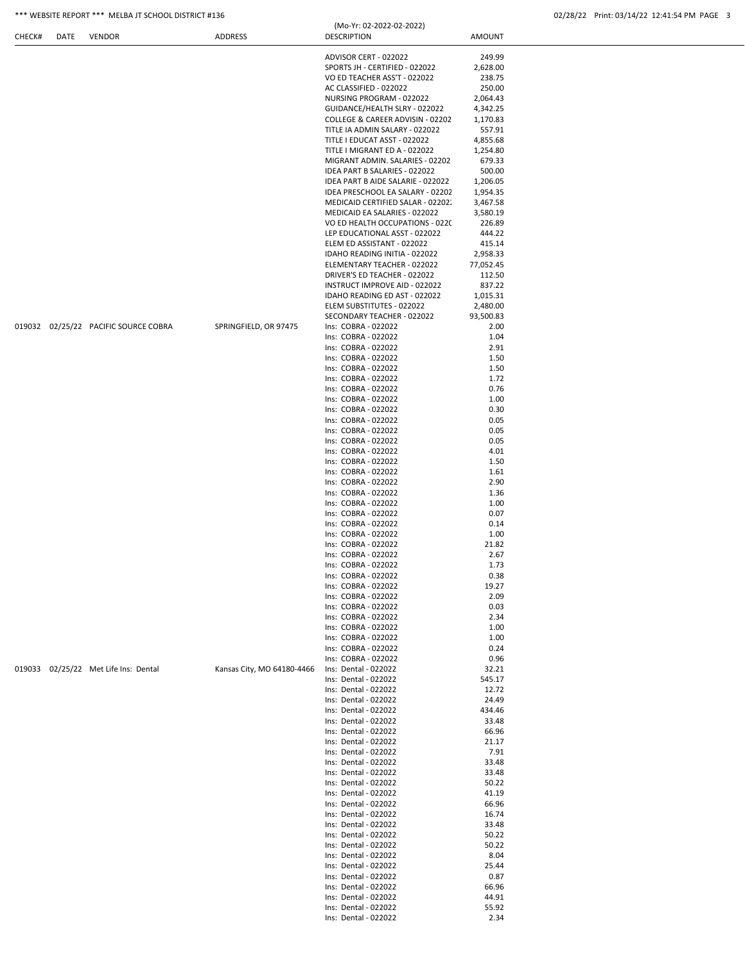## \*\*\* WEBSITE REPORT \*\*\* MELBA JT SCHOOL DISTRICT #136 02/28/22 Print: 03/14/22 12:41:54 PM PAGE 3

|  |                                      |                            | ADVISOR CERT - 022022                        | 249.99    |  |
|--|--------------------------------------|----------------------------|----------------------------------------------|-----------|--|
|  |                                      |                            | SPORTS JH - CERTIFIED - 022022               | 2,628.00  |  |
|  |                                      |                            | VO ED TEACHER ASS'T - 022022                 | 238.75    |  |
|  |                                      |                            | AC CLASSIFIED - 022022                       | 250.00    |  |
|  |                                      |                            | NURSING PROGRAM - 022022                     | 2,064.43  |  |
|  |                                      |                            | GUIDANCE/HEALTH SLRY - 022022                | 4,342.25  |  |
|  |                                      |                            | COLLEGE & CAREER ADVISIN - 02202             | 1,170.83  |  |
|  |                                      |                            | TITLE IA ADMIN SALARY - 022022               | 557.91    |  |
|  |                                      |                            | TITLE I EDUCAT ASST - 022022                 | 4,855.68  |  |
|  |                                      |                            | TITLE I MIGRANT ED A - 022022                | 1,254.80  |  |
|  |                                      |                            | MIGRANT ADMIN. SALARIES - 02202              | 679.33    |  |
|  |                                      |                            | IDEA PART B SALARIES - 022022                | 500.00    |  |
|  |                                      |                            | IDEA PART B AIDE SALARIE - 022022            | 1,206.05  |  |
|  |                                      |                            | IDEA PRESCHOOL EA SALARY - 02202             | 1,954.35  |  |
|  |                                      |                            | MEDICAID CERTIFIED SALAR - 02202.            | 3,467.58  |  |
|  |                                      |                            | MEDICAID EA SALARIES - 022022                | 3,580.19  |  |
|  |                                      |                            | VO ED HEALTH OCCUPATIONS - 0220              | 226.89    |  |
|  |                                      |                            | LEP EDUCATIONAL ASST - 022022                | 444.22    |  |
|  |                                      |                            | ELEM ED ASSISTANT - 022022                   | 415.14    |  |
|  |                                      |                            | IDAHO READING INITIA - 022022                | 2,958.33  |  |
|  |                                      |                            | ELEMENTARY TEACHER - 022022                  | 77,052.45 |  |
|  |                                      |                            | DRIVER'S ED TEACHER - 022022                 | 112.50    |  |
|  |                                      |                            | INSTRUCT IMPROVE AID - 022022                | 837.22    |  |
|  |                                      |                            | IDAHO READING ED AST - 022022                | 1,015.31  |  |
|  |                                      |                            | ELEM SUBSTITUTES - 022022                    | 2,480.00  |  |
|  |                                      |                            | SECONDARY TEACHER - 022022                   | 93,500.83 |  |
|  | 019032 02/25/22 PACIFIC SOURCE COBRA | SPRINGFIELD, OR 97475      | Ins: COBRA - 022022                          | 2.00      |  |
|  |                                      |                            | Ins: COBRA - 022022                          | 1.04      |  |
|  |                                      |                            | Ins: COBRA - 022022                          | 2.91      |  |
|  |                                      |                            | Ins: COBRA - 022022                          | 1.50      |  |
|  |                                      |                            | Ins: COBRA - 022022                          | 1.50      |  |
|  |                                      |                            | Ins: COBRA - 022022                          | 1.72      |  |
|  |                                      |                            | Ins: COBRA - 022022                          | 0.76      |  |
|  |                                      |                            | Ins: COBRA - 022022                          | 1.00      |  |
|  |                                      |                            | Ins: COBRA - 022022                          | 0.30      |  |
|  |                                      |                            | Ins: COBRA - 022022                          | 0.05      |  |
|  |                                      |                            | Ins: COBRA - 022022                          | 0.05      |  |
|  |                                      |                            | Ins: COBRA - 022022                          | 0.05      |  |
|  |                                      |                            | Ins: COBRA - 022022                          | 4.01      |  |
|  |                                      |                            | Ins: COBRA - 022022                          | 1.50      |  |
|  |                                      |                            | Ins: COBRA - 022022                          | 1.61      |  |
|  |                                      |                            | Ins: COBRA - 022022                          | 2.90      |  |
|  |                                      |                            | Ins: COBRA - 022022                          | 1.36      |  |
|  |                                      |                            | Ins: COBRA - 022022                          | 1.00      |  |
|  |                                      |                            | Ins: COBRA - 022022                          | 0.07      |  |
|  |                                      |                            | Ins: COBRA - 022022                          | 0.14      |  |
|  |                                      |                            | Ins: COBRA - 022022                          | 1.00      |  |
|  |                                      |                            | Ins: COBRA - 022022                          | 21.82     |  |
|  |                                      |                            | Ins: COBRA - 022022                          | 2.67      |  |
|  |                                      |                            | Ins: COBRA - 022022                          | 1.73      |  |
|  |                                      |                            | Ins: COBRA - 022022                          | 0.38      |  |
|  |                                      |                            | Ins: COBRA - 022022                          | 19.27     |  |
|  |                                      |                            | Ins: COBRA - 022022                          | 2.09      |  |
|  |                                      |                            | Ins: COBRA - 022022                          | 0.03      |  |
|  |                                      |                            | Ins: COBRA - 022022                          | 2.34      |  |
|  |                                      |                            | Ins: COBRA - 022022                          | 1.00      |  |
|  |                                      |                            | Ins: COBRA - 022022                          | 1.00      |  |
|  |                                      |                            | Ins: COBRA - 022022                          | 0.24      |  |
|  |                                      |                            | Ins: COBRA - 022022                          | 0.96      |  |
|  | 019033 02/25/22 Met Life Ins: Dental | Kansas City, MO 64180-4466 | Ins: Dental - 022022                         | 32.21     |  |
|  |                                      |                            | Ins: Dental - 022022                         | 545.17    |  |
|  |                                      |                            | Ins: Dental - 022022                         | 12.72     |  |
|  |                                      |                            | Ins: Dental - 022022                         | 24.49     |  |
|  |                                      |                            |                                              |           |  |
|  |                                      |                            | Ins: Dental - 022022<br>Ins: Dental - 022022 | 434.46    |  |
|  |                                      |                            |                                              | 33.48     |  |
|  |                                      |                            | Ins: Dental - 022022                         | 66.96     |  |
|  |                                      |                            | Ins: Dental - 022022                         | 21.17     |  |
|  |                                      |                            | Ins: Dental - 022022                         | 7.91      |  |
|  |                                      |                            | Ins: Dental - 022022                         | 33.48     |  |
|  |                                      |                            | Ins: Dental - 022022                         | 33.48     |  |
|  |                                      |                            | Ins: Dental - 022022                         | 50.22     |  |
|  |                                      |                            | Ins: Dental - 022022                         | 41.19     |  |
|  |                                      |                            | Ins: Dental - 022022                         | 66.96     |  |
|  |                                      |                            | Ins: Dental - 022022                         | 16.74     |  |
|  |                                      |                            | Ins: Dental - 022022                         | 33.48     |  |
|  |                                      |                            | Ins: Dental - 022022                         | 50.22     |  |
|  |                                      |                            | Ins: Dental - 022022                         | 50.22     |  |
|  |                                      |                            | Ins: Dental - 022022                         | 8.04      |  |
|  |                                      |                            | Ins: Dental - 022022                         | 25.44     |  |
|  |                                      |                            | Ins: Dental - 022022                         | 0.87      |  |
|  |                                      |                            | Ins: Dental - 022022                         | 66.96     |  |
|  |                                      |                            | Ins: Dental - 022022                         | 44.91     |  |
|  |                                      |                            | Ins: Dental - 022022                         | 55.92     |  |
|  |                                      |                            | Ins: Dental - 022022                         | 2.34      |  |

(Mo-Yr: 02-2022-02-2022)

CHECK# DATE VENDOR ADDRESS DESCRIPTION AMOUNT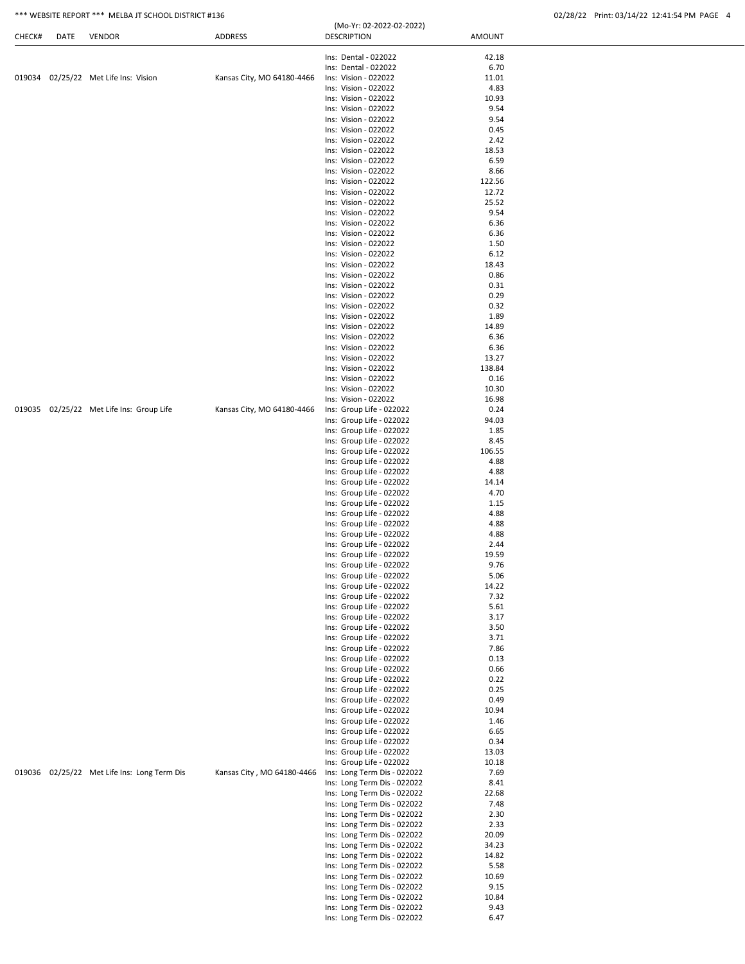## \*\*\* WEBSITE REPORT \*\*\* MELBA JT SCHOOL DISTRICT #136 02/28 02/28 02/28/22 Print: 03/14/22 12:41:54 PM PAGE 4

| CHECK# | DATE | <b>VENDOR</b>                               | ADDRESS                    | (Mo-Yr: 02-2022-02-2022)<br><b>DESCRIPTION</b> | <b>AMOUNT</b> |
|--------|------|---------------------------------------------|----------------------------|------------------------------------------------|---------------|
|        |      |                                             |                            | Ins: Dental - 022022                           | 42.18         |
|        |      |                                             |                            | Ins: Dental - 022022                           | 6.70          |
|        |      | 019034 02/25/22 Met Life Ins: Vision        | Kansas City, MO 64180-4466 | Ins: Vision - 022022                           | 11.01         |
|        |      |                                             |                            | Ins: Vision - 022022                           | 4.83          |
|        |      |                                             |                            | Ins: Vision - 022022                           | 10.93         |
|        |      |                                             |                            | Ins: Vision - 022022                           | 9.54          |
|        |      |                                             |                            | Ins: Vision - 022022                           | 9.54          |
|        |      |                                             |                            | Ins: Vision - 022022                           | 0.45          |
|        |      |                                             |                            | Ins: Vision - 022022                           | 2.42          |
|        |      |                                             |                            | Ins: Vision - 022022                           | 18.53         |
|        |      |                                             |                            | Ins: Vision - 022022                           | 6.59          |
|        |      |                                             |                            | Ins: Vision - 022022                           | 8.66          |
|        |      |                                             |                            | Ins: Vision - 022022                           | 122.56        |
|        |      |                                             |                            | Ins: Vision - 022022                           | 12.72         |
|        |      |                                             |                            | Ins: Vision - 022022                           | 25.52         |
|        |      |                                             |                            | Ins: Vision - 022022                           | 9.54          |
|        |      |                                             |                            | Ins: Vision - 022022                           | 6.36          |
|        |      |                                             |                            | Ins: Vision - 022022                           | 6.36          |
|        |      |                                             |                            | Ins: Vision - 022022                           | 1.50          |
|        |      |                                             |                            | Ins: Vision - 022022                           | 6.12          |
|        |      |                                             |                            |                                                |               |
|        |      |                                             |                            | Ins: Vision - 022022<br>Ins: Vision - 022022   | 18.43         |
|        |      |                                             |                            |                                                | 0.86          |
|        |      |                                             |                            | Ins: Vision - 022022                           | 0.31          |
|        |      |                                             |                            | Ins: Vision - 022022                           | 0.29          |
|        |      |                                             |                            | Ins: Vision - 022022                           | 0.32          |
|        |      |                                             |                            | Ins: Vision - 022022                           | 1.89          |
|        |      |                                             |                            | Ins: Vision - 022022                           | 14.89         |
|        |      |                                             |                            | Ins: Vision - 022022                           | 6.36          |
|        |      |                                             |                            | Ins: Vision - 022022                           | 6.36          |
|        |      |                                             |                            | Ins: Vision - 022022                           | 13.27         |
|        |      |                                             |                            | Ins: Vision - 022022                           | 138.84        |
|        |      |                                             |                            | Ins: Vision - 022022                           | 0.16          |
|        |      |                                             |                            | Ins: Vision - 022022                           | 10.30         |
|        |      |                                             |                            | Ins: Vision - 022022                           | 16.98         |
|        |      | 019035 02/25/22 Met Life Ins: Group Life    | Kansas City, MO 64180-4466 | Ins: Group Life - 022022                       | 0.24          |
|        |      |                                             |                            | Ins: Group Life - 022022                       | 94.03         |
|        |      |                                             |                            | Ins: Group Life - 022022                       | 1.85          |
|        |      |                                             |                            | Ins: Group Life - 022022                       | 8.45          |
|        |      |                                             |                            | Ins: Group Life - 022022                       | 106.55        |
|        |      |                                             |                            | Ins: Group Life - 022022                       | 4.88          |
|        |      |                                             |                            | Ins: Group Life - 022022                       | 4.88          |
|        |      |                                             |                            | Ins: Group Life - 022022                       | 14.14         |
|        |      |                                             |                            | Ins: Group Life - 022022                       | 4.70          |
|        |      |                                             |                            | Ins: Group Life - 022022                       | 1.15          |
|        |      |                                             |                            | Ins: Group Life - 022022                       | 4.88          |
|        |      |                                             |                            | Ins: Group Life - 022022                       | 4.88          |
|        |      |                                             |                            | Ins: Group Life - 022022                       | 4.88          |
|        |      |                                             |                            | Ins: Group Life - 022022                       | 2.44          |
|        |      |                                             |                            | Ins: Group Life - 022022                       | 19.59         |
|        |      |                                             |                            | Ins: Group Life - 022022                       | 9.76          |
|        |      |                                             |                            | Ins: Group Life - 022022                       | 5.06          |
|        |      |                                             |                            | Ins: Group Life - 022022                       | 14.22         |
|        |      |                                             |                            | Ins: Group Life - 022022                       | 7.32          |
|        |      |                                             |                            | Ins: Group Life - 022022                       | 5.61          |
|        |      |                                             |                            | Ins: Group Life - 022022                       | 3.17          |
|        |      |                                             |                            | Ins: Group Life - 022022                       | 3.50          |
|        |      |                                             |                            | Ins: Group Life - 022022                       | 3.71          |
|        |      |                                             |                            | Ins: Group Life - 022022                       | 7.86          |
|        |      |                                             |                            | Ins: Group Life - 022022                       | 0.13          |
|        |      |                                             |                            | Ins: Group Life - 022022                       | 0.66          |
|        |      |                                             |                            | Ins: Group Life - 022022                       | 0.22          |
|        |      |                                             |                            | Ins: Group Life - 022022                       | 0.25          |
|        |      |                                             |                            |                                                |               |
|        |      |                                             |                            | Ins: Group Life - 022022                       | 0.49          |
|        |      |                                             |                            | Ins: Group Life - 022022                       | 10.94         |
|        |      |                                             |                            | Ins: Group Life - 022022                       | 1.46          |
|        |      |                                             |                            | Ins: Group Life - 022022                       | 6.65          |
|        |      |                                             |                            | Ins: Group Life - 022022                       | 0.34          |
|        |      |                                             |                            | Ins: Group Life - 022022                       | 13.03         |
|        |      |                                             |                            | Ins: Group Life - 022022                       | 10.18         |
|        |      | 019036 02/25/22 Met Life Ins: Long Term Dis | Kansas City, MO 64180-4466 | Ins: Long Term Dis - 022022                    | 7.69          |
|        |      |                                             |                            | Ins: Long Term Dis - 022022                    | 8.41          |
|        |      |                                             |                            | Ins: Long Term Dis - 022022                    | 22.68         |
|        |      |                                             |                            | Ins: Long Term Dis - 022022                    | 7.48          |
|        |      |                                             |                            | Ins: Long Term Dis - 022022                    | 2.30          |
|        |      |                                             |                            | Ins: Long Term Dis - 022022                    | 2.33          |
|        |      |                                             |                            | Ins: Long Term Dis - 022022                    | 20.09         |
|        |      |                                             |                            | Ins: Long Term Dis - 022022                    | 34.23         |
|        |      |                                             |                            | Ins: Long Term Dis - 022022                    | 14.82         |
|        |      |                                             |                            | Ins: Long Term Dis - 022022                    | 5.58          |
|        |      |                                             |                            | Ins: Long Term Dis - 022022                    | 10.69         |
|        |      |                                             |                            | Ins: Long Term Dis - 022022                    | 9.15          |
|        |      |                                             |                            | Ins: Long Term Dis - 022022                    | 10.84         |
|        |      |                                             |                            | Ins: Long Term Dis - 022022                    | 9.43          |
|        |      |                                             |                            | Ins: Long Term Dis - 022022                    | 6.47          |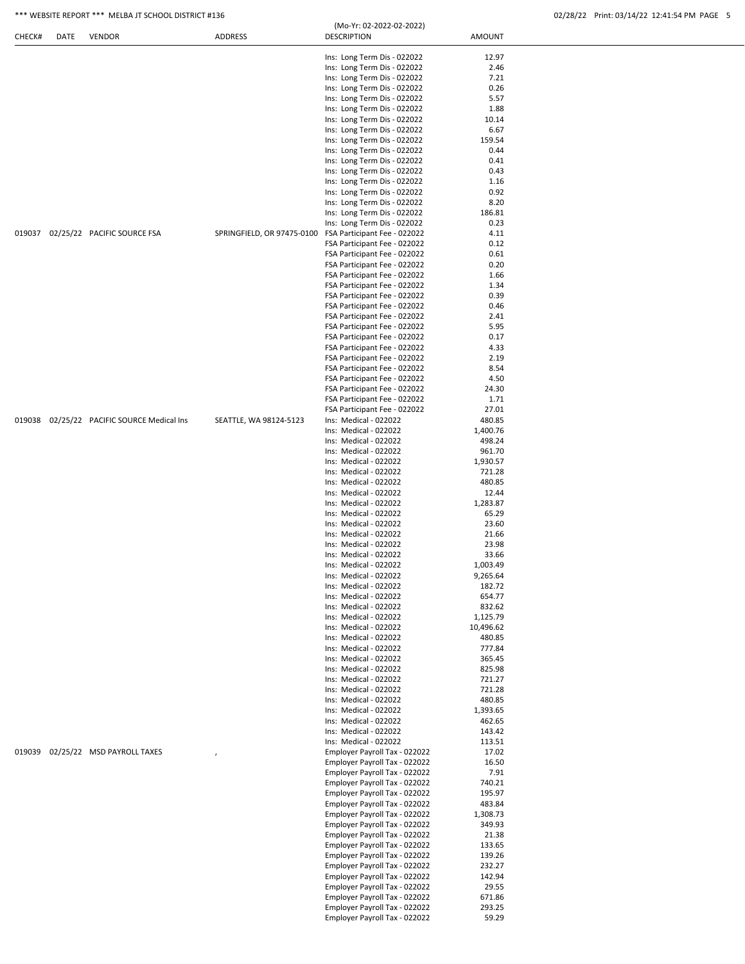| CHECK# | DATE | <b>VENDOR</b>                              | ADDRESS                    | <b>DESCRIPTION</b>                             | AMOUNT             |  |
|--------|------|--------------------------------------------|----------------------------|------------------------------------------------|--------------------|--|
|        |      |                                            |                            | Ins: Long Term Dis - 022022                    | 12.97              |  |
|        |      |                                            |                            | Ins: Long Term Dis - 022022                    | 2.46               |  |
|        |      |                                            |                            | Ins: Long Term Dis - 022022                    | 7.21               |  |
|        |      |                                            |                            | Ins: Long Term Dis - 022022                    | 0.26               |  |
|        |      |                                            |                            | Ins: Long Term Dis - 022022                    | 5.57               |  |
|        |      |                                            |                            | Ins: Long Term Dis - 022022                    | 1.88               |  |
|        |      |                                            |                            | Ins: Long Term Dis - 022022                    | 10.14              |  |
|        |      |                                            |                            | Ins: Long Term Dis - 022022                    | 6.67               |  |
|        |      |                                            |                            | Ins: Long Term Dis - 022022                    | 159.54             |  |
|        |      |                                            |                            | Ins: Long Term Dis - 022022                    | 0.44               |  |
|        |      |                                            |                            | Ins: Long Term Dis - 022022                    | 0.41               |  |
|        |      |                                            |                            | Ins: Long Term Dis - 022022                    | 0.43               |  |
|        |      |                                            |                            | Ins: Long Term Dis - 022022                    | 1.16               |  |
|        |      |                                            |                            | Ins: Long Term Dis - 022022                    | 0.92               |  |
|        |      |                                            |                            | Ins: Long Term Dis - 022022                    | 8.20               |  |
|        |      |                                            |                            | Ins: Long Term Dis - 022022                    | 186.81             |  |
|        |      |                                            |                            | Ins: Long Term Dis - 022022                    | 0.23               |  |
| 019037 |      | 02/25/22 PACIFIC SOURCE FSA                | SPRINGFIELD, OR 97475-0100 | FSA Participant Fee - 022022                   | 4.11               |  |
|        |      |                                            |                            | FSA Participant Fee - 022022                   | 0.12               |  |
|        |      |                                            |                            | FSA Participant Fee - 022022                   | 0.61               |  |
|        |      |                                            |                            | FSA Participant Fee - 022022                   | 0.20               |  |
|        |      |                                            |                            | FSA Participant Fee - 022022                   | 1.66               |  |
|        |      |                                            |                            | FSA Participant Fee - 022022                   | 1.34               |  |
|        |      |                                            |                            | FSA Participant Fee - 022022                   | 0.39               |  |
|        |      |                                            |                            | FSA Participant Fee - 022022                   | 0.46               |  |
|        |      |                                            |                            | FSA Participant Fee - 022022                   | 2.41               |  |
|        |      |                                            |                            | FSA Participant Fee - 022022                   | 5.95               |  |
|        |      |                                            |                            | FSA Participant Fee - 022022                   | 0.17               |  |
|        |      |                                            |                            | FSA Participant Fee - 022022                   | 4.33               |  |
|        |      |                                            |                            | FSA Participant Fee - 022022                   | 2.19               |  |
|        |      |                                            |                            | FSA Participant Fee - 022022                   | 8.54               |  |
|        |      |                                            |                            | FSA Participant Fee - 022022                   | 4.50               |  |
|        |      |                                            |                            | FSA Participant Fee - 022022                   | 24.30              |  |
|        |      |                                            |                            | FSA Participant Fee - 022022                   | 1.71               |  |
|        |      |                                            |                            | FSA Participant Fee - 022022                   | 27.01              |  |
|        |      | 019038 02/25/22 PACIFIC SOURCE Medical Ins | SEATTLE, WA 98124-5123     | Ins: Medical - 022022                          | 480.85             |  |
|        |      |                                            |                            | Ins: Medical - 022022                          | 1,400.76           |  |
|        |      |                                            |                            | Ins: Medical - 022022                          | 498.24             |  |
|        |      |                                            |                            | Ins: Medical - 022022                          | 961.70             |  |
|        |      |                                            |                            | Ins: Medical - 022022<br>Ins: Medical - 022022 | 1,930.57<br>721.28 |  |
|        |      |                                            |                            |                                                |                    |  |
|        |      |                                            |                            | Ins: Medical - 022022                          | 480.85             |  |
|        |      |                                            |                            | Ins: Medical - 022022<br>Ins: Medical - 022022 | 12.44              |  |
|        |      |                                            |                            | Ins: Medical - 022022                          | 1,283.87<br>65.29  |  |
|        |      |                                            |                            | Ins: Medical - 022022                          | 23.60              |  |
|        |      |                                            |                            | Ins: Medical - 022022                          | 21.66              |  |
|        |      |                                            |                            | Ins: Medical - 022022                          | 23.98              |  |
|        |      |                                            |                            | Ins: Medical - 022022                          | 33.66              |  |
|        |      |                                            |                            | Ins: Medical - 022022                          | 1,003.49           |  |
|        |      |                                            |                            | Ins: Medical - 022022                          | 9,265.64           |  |
|        |      |                                            |                            | Ins: Medical - 022022                          | 182.72             |  |
|        |      |                                            |                            | Ins: Medical - 022022                          | 654.77             |  |
|        |      |                                            |                            | Ins: Medical - 022022                          | 832.62             |  |
|        |      |                                            |                            | Ins: Medical - 022022                          | 1,125.79           |  |
|        |      |                                            |                            | Ins: Medical - 022022                          | 10,496.62          |  |
|        |      |                                            |                            | Ins: Medical - 022022                          | 480.85             |  |
|        |      |                                            |                            | Ins: Medical - 022022                          | 777.84             |  |
|        |      |                                            |                            | Ins: Medical - 022022                          | 365.45             |  |
|        |      |                                            |                            | Ins: Medical - 022022                          | 825.98             |  |
|        |      |                                            |                            | Ins: Medical - 022022                          | 721.27             |  |
|        |      |                                            |                            | Ins: Medical - 022022                          | 721.28             |  |
|        |      |                                            |                            | Ins: Medical - 022022                          | 480.85             |  |
|        |      |                                            |                            | Ins: Medical - 022022                          | 1,393.65           |  |
|        |      |                                            |                            | Ins: Medical - 022022                          | 462.65             |  |
|        |      |                                            |                            | Ins: Medical - 022022                          | 143.42             |  |
|        |      |                                            |                            | Ins: Medical - 022022                          | 113.51             |  |
| 019039 |      | 02/25/22 MSD PAYROLL TAXES                 |                            | Employer Payroll Tax - 022022                  | 17.02              |  |
|        |      |                                            |                            | Employer Payroll Tax - 022022                  | 16.50              |  |
|        |      |                                            |                            | Employer Payroll Tax - 022022                  | 7.91               |  |
|        |      |                                            |                            | Employer Payroll Tax - 022022                  | 740.21             |  |
|        |      |                                            |                            | Employer Payroll Tax - 022022                  | 195.97             |  |
|        |      |                                            |                            | Employer Payroll Tax - 022022                  | 483.84             |  |
|        |      |                                            |                            | Employer Payroll Tax - 022022                  | 1,308.73           |  |
|        |      |                                            |                            | Employer Payroll Tax - 022022                  | 349.93             |  |
|        |      |                                            |                            | Employer Payroll Tax - 022022                  | 21.38              |  |
|        |      |                                            |                            | Employer Payroll Tax - 022022                  | 133.65             |  |
|        |      |                                            |                            | Employer Payroll Tax - 022022                  | 139.26             |  |
|        |      |                                            |                            | Employer Payroll Tax - 022022                  | 232.27             |  |
|        |      |                                            |                            | Employer Payroll Tax - 022022                  | 142.94             |  |
|        |      |                                            |                            | Employer Payroll Tax - 022022                  | 29.55              |  |
|        |      |                                            |                            | Employer Payroll Tax - 022022                  | 671.86             |  |
|        |      |                                            |                            | Employer Payroll Tax - 022022                  | 293.25             |  |
|        |      |                                            |                            | Employer Payroll Tax - 022022                  | 59.29              |  |
|        |      |                                            |                            |                                                |                    |  |

(Mo-Yr: 02-2022-02-2022)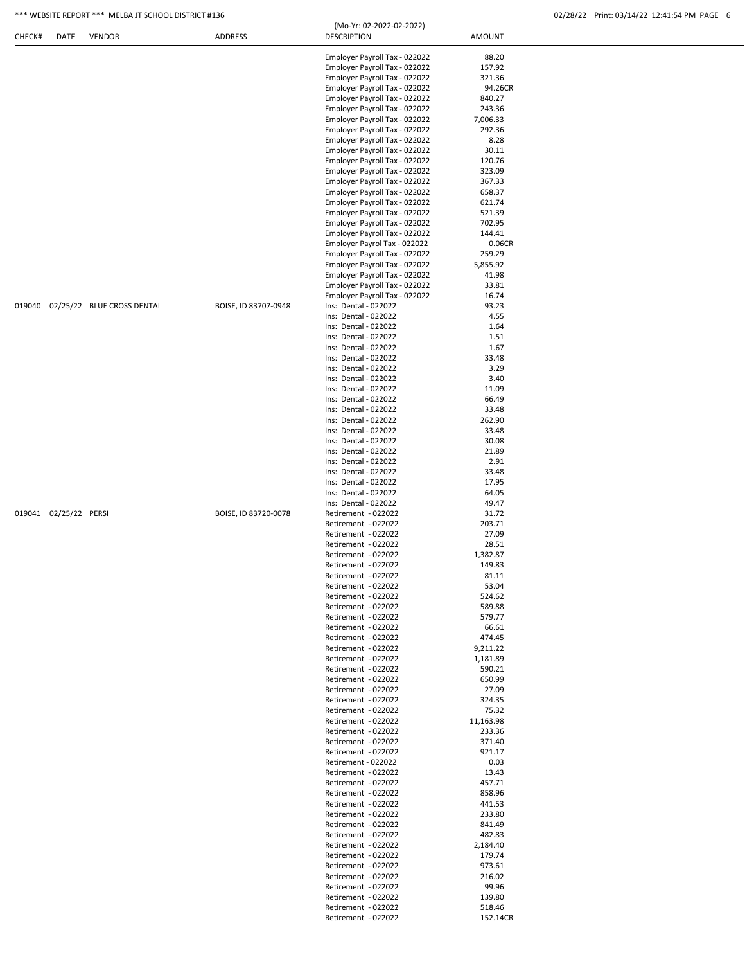### \*\*\* WEBSITE REPORT \*\*\* MELBA JT SCHOOL DISTRICT #136 02/28/22 Print: 03/14/22 12:41:54 PM PAGE 6

|                                   |                      | Employer Payroll Tax - 022022 | 88.20     |
|-----------------------------------|----------------------|-------------------------------|-----------|
|                                   |                      | Employer Payroll Tax - 022022 | 157.92    |
|                                   |                      | Employer Payroll Tax - 022022 | 321.36    |
|                                   |                      |                               |           |
|                                   |                      | Employer Payroll Tax - 022022 | 94.26CR   |
|                                   |                      | Employer Payroll Tax - 022022 | 840.27    |
|                                   |                      | Employer Payroll Tax - 022022 | 243.36    |
|                                   |                      |                               |           |
|                                   |                      | Employer Payroll Tax - 022022 | 7,006.33  |
|                                   |                      | Employer Payroll Tax - 022022 | 292.36    |
|                                   |                      | Employer Payroll Tax - 022022 | 8.28      |
|                                   |                      |                               |           |
|                                   |                      | Employer Payroll Tax - 022022 | 30.11     |
|                                   |                      | Employer Payroll Tax - 022022 | 120.76    |
|                                   |                      | Employer Payroll Tax - 022022 | 323.09    |
|                                   |                      |                               |           |
|                                   |                      | Employer Payroll Tax - 022022 | 367.33    |
|                                   |                      | Employer Payroll Tax - 022022 | 658.37    |
|                                   |                      | Employer Payroll Tax - 022022 | 621.74    |
|                                   |                      |                               |           |
|                                   |                      | Employer Payroll Tax - 022022 | 521.39    |
|                                   |                      | Employer Payroll Tax - 022022 | 702.95    |
|                                   |                      | Employer Payroll Tax - 022022 | 144.41    |
|                                   |                      | Employer Payrol Tax - 022022  | 0.06CR    |
|                                   |                      |                               |           |
|                                   |                      | Employer Payroll Tax - 022022 | 259.29    |
|                                   |                      | Employer Payroll Tax - 022022 | 5,855.92  |
|                                   |                      | Employer Payroll Tax - 022022 | 41.98     |
|                                   |                      |                               |           |
|                                   |                      | Employer Payroll Tax - 022022 | 33.81     |
|                                   |                      | Employer Payroll Tax - 022022 | 16.74     |
| 019040 02/25/22 BLUE CROSS DENTAL | BOISE, ID 83707-0948 | Ins: Dental - 022022          | 93.23     |
|                                   |                      |                               |           |
|                                   |                      | Ins: Dental - 022022          | 4.55      |
|                                   |                      | Ins: Dental - 022022          | 1.64      |
|                                   |                      | Ins: Dental - 022022          | 1.51      |
|                                   |                      |                               |           |
|                                   |                      | Ins: Dental - 022022          | 1.67      |
|                                   |                      | Ins: Dental - 022022          | 33.48     |
|                                   |                      | Ins: Dental - 022022          | 3.29      |
|                                   |                      |                               |           |
|                                   |                      | Ins: Dental - 022022          | 3.40      |
|                                   |                      | Ins: Dental - 022022          | 11.09     |
|                                   |                      | Ins: Dental - 022022          | 66.49     |
|                                   |                      |                               |           |
|                                   |                      | Ins: Dental - 022022          | 33.48     |
|                                   |                      | Ins: Dental - 022022          | 262.90    |
|                                   |                      | Ins: Dental - 022022          | 33.48     |
|                                   |                      |                               |           |
|                                   |                      | Ins: Dental - 022022          | 30.08     |
|                                   |                      | Ins: Dental - 022022          | 21.89     |
|                                   |                      | Ins: Dental - 022022          | 2.91      |
|                                   |                      |                               |           |
|                                   |                      | Ins: Dental - 022022          | 33.48     |
|                                   |                      | Ins: Dental - 022022          | 17.95     |
|                                   |                      | Ins: Dental - 022022          | 64.05     |
|                                   |                      |                               |           |
|                                   |                      | Ins: Dental - 022022          | 49.47     |
| 019041 02/25/22 PERSI             | BOISE, ID 83720-0078 | Retirement - 022022           | 31.72     |
|                                   |                      | Retirement - 022022           | 203.71    |
|                                   |                      |                               |           |
|                                   |                      | Retirement - 022022           | 27.09     |
|                                   |                      | Retirement - 022022           | 28.51     |
|                                   |                      | Retirement - 022022           | 1,382.87  |
|                                   |                      |                               |           |
|                                   |                      | Retirement - 022022           | 149.83    |
|                                   |                      | Retirement - 022022           | 81.11     |
|                                   |                      | Retirement - 022022           | 53.04     |
|                                   |                      |                               |           |
|                                   |                      | Retirement - 022022           | 524.62    |
|                                   |                      | Retirement - 022022           | 589.88    |
|                                   |                      | Retirement - 022022           | 579.77    |
|                                   |                      |                               |           |
|                                   |                      | Retirement - 022022           | 66.61     |
|                                   |                      | Retirement - 022022           | 474.45    |
|                                   |                      | Retirement - 022022           | 9,211.22  |
|                                   |                      |                               |           |
|                                   |                      | Retirement - 022022           | 1,181.89  |
|                                   |                      | Retirement - 022022           | 590.21    |
|                                   |                      | Retirement - 022022           | 650.99    |
|                                   |                      |                               |           |
|                                   |                      | Retirement - 022022           | 27.09     |
|                                   |                      | Retirement - 022022           | 324.35    |
|                                   |                      |                               |           |
|                                   |                      | Retirement - 022022           | 75.32     |
|                                   |                      | Retirement - 022022           | 11,163.98 |
|                                   |                      | Retirement - 022022           | 233.36    |
|                                   |                      |                               | 371.40    |
|                                   |                      | Retirement - 022022           |           |
|                                   |                      | Retirement - 022022           | 921.17    |
|                                   |                      | Retirement - 022022           | 0.03      |
|                                   |                      |                               |           |
|                                   |                      | Retirement - 022022           | 13.43     |
|                                   |                      | Retirement - 022022           | 457.71    |
|                                   |                      | Retirement - 022022           | 858.96    |
|                                   |                      |                               |           |
|                                   |                      | Retirement - 022022           | 441.53    |
|                                   |                      | Retirement - 022022           | 233.80    |
|                                   |                      | Retirement - 022022           | 841.49    |
|                                   |                      |                               |           |
|                                   |                      | Retirement - 022022           | 482.83    |
|                                   |                      | Retirement - 022022           | 2,184.40  |
|                                   |                      | Retirement - 022022           | 179.74    |
|                                   |                      |                               |           |
|                                   |                      | Retirement - 022022           | 973.61    |
|                                   |                      | Retirement - 022022           | 216.02    |
|                                   |                      | Retirement - 022022           | 99.96     |
|                                   |                      |                               |           |
|                                   |                      | Retirement - 022022           | 139.80    |
|                                   |                      |                               |           |
|                                   |                      | Retirement - 022022           | 518.46    |
|                                   |                      | Retirement - 022022           | 152.14CR  |

(Mo-Yr: 02-2022-02-2022)

CHECK# DATE VENDOR ADDRESS DESCRIPTION AMOUNT